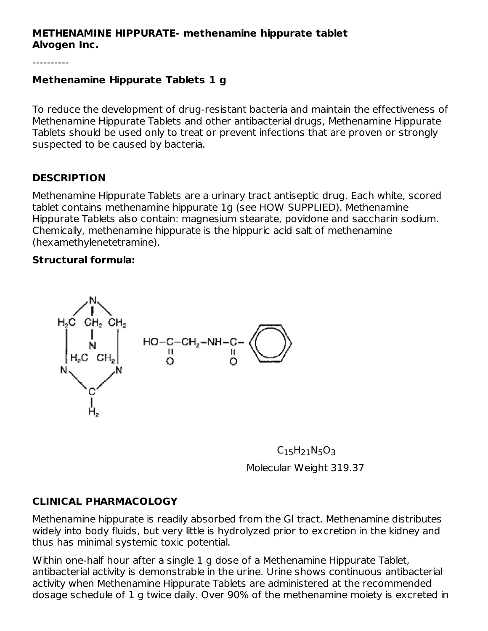#### **METHENAMINE HIPPURATE- methenamine hippurate tablet Alvogen Inc.**

#### **Methenamine Hippurate Tablets 1 g**

To reduce the development of drug-resistant bacteria and maintain the effectiveness of Methenamine Hippurate Tablets and other antibacterial drugs, Methenamine Hippurate Tablets should be used only to treat or prevent infections that are proven or strongly suspected to be caused by bacteria.

## **DESCRIPTION**

Methenamine Hippurate Tablets are a urinary tract antiseptic drug. Each white, scored tablet contains methenamine hippurate 1g (see HOW SUPPLIED). Methenamine Hippurate Tablets also contain: magnesium stearate, povidone and saccharin sodium. Chemically, methenamine hippurate is the hippuric acid salt of methenamine (hexamethylenetetramine).

#### **Structural formula:**



 $\mathsf{C}_{15}\mathsf{H}_{21}\mathsf{N}_{5}\mathsf{O}_{3}$ Molecular Weight 319.37

## **CLINICAL PHARMACOLOGY**

Methenamine hippurate is readily absorbed from the GI tract. Methenamine distributes widely into body fluids, but very little is hydrolyzed prior to excretion in the kidney and thus has minimal systemic toxic potential.

Within one-half hour after a single 1 g dose of a Methenamine Hippurate Tablet, antibacterial activity is demonstrable in the urine. Urine shows continuous antibacterial activity when Methenamine Hippurate Tablets are administered at the recommended dosage schedule of 1 g twice daily. Over 90% of the methenamine moiety is excreted in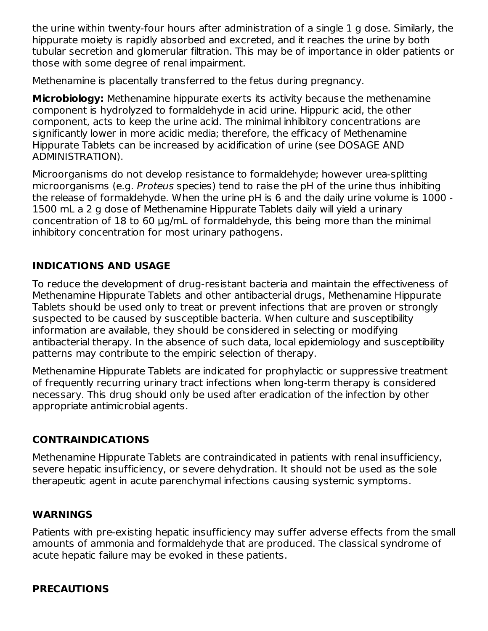the urine within twenty-four hours after administration of a single 1 g dose. Similarly, the hippurate moiety is rapidly absorbed and excreted, and it reaches the urine by both tubular secretion and glomerular filtration. This may be of importance in older patients or those with some degree of renal impairment.

Methenamine is placentally transferred to the fetus during pregnancy.

**Microbiology:** Methenamine hippurate exerts its activity because the methenamine component is hydrolyzed to formaldehyde in acid urine. Hippuric acid, the other component, acts to keep the urine acid. The minimal inhibitory concentrations are significantly lower in more acidic media; therefore, the efficacy of Methenamine Hippurate Tablets can be increased by acidification of urine (see DOSAGE AND ADMINISTRATION).

Microorganisms do not develop resistance to formaldehyde; however urea-splitting microorganisms (e.g. Proteus species) tend to raise the pH of the urine thus inhibiting the release of formaldehyde. When the urine pH is 6 and the daily urine volume is 1000 - 1500 mL a 2 g dose of Methenamine Hippurate Tablets daily will yield a urinary concentration of 18 to 60 μg/mL of formaldehyde, this being more than the minimal inhibitory concentration for most urinary pathogens.

# **INDICATIONS AND USAGE**

To reduce the development of drug-resistant bacteria and maintain the effectiveness of Methenamine Hippurate Tablets and other antibacterial drugs, Methenamine Hippurate Tablets should be used only to treat or prevent infections that are proven or strongly suspected to be caused by susceptible bacteria. When culture and susceptibility information are available, they should be considered in selecting or modifying antibacterial therapy. In the absence of such data, local epidemiology and susceptibility patterns may contribute to the empiric selection of therapy.

Methenamine Hippurate Tablets are indicated for prophylactic or suppressive treatment of frequently recurring urinary tract infections when long-term therapy is considered necessary. This drug should only be used after eradication of the infection by other appropriate antimicrobial agents.

# **CONTRAINDICATIONS**

Methenamine Hippurate Tablets are contraindicated in patients with renal insufficiency, severe hepatic insufficiency, or severe dehydration. It should not be used as the sole therapeutic agent in acute parenchymal infections causing systemic symptoms.

## **WARNINGS**

Patients with pre-existing hepatic insufficiency may suffer adverse effects from the small amounts of ammonia and formaldehyde that are produced. The classical syndrome of acute hepatic failure may be evoked in these patients.

# **PRECAUTIONS**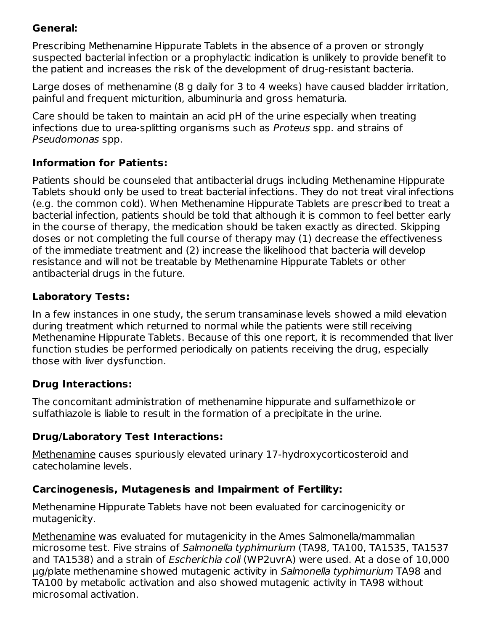# **General:**

Prescribing Methenamine Hippurate Tablets in the absence of a proven or strongly suspected bacterial infection or a prophylactic indication is unlikely to provide benefit to the patient and increases the risk of the development of drug-resistant bacteria.

Large doses of methenamine (8 g daily for 3 to 4 weeks) have caused bladder irritation, painful and frequent micturition, albuminuria and gross hematuria.

Care should be taken to maintain an acid pH of the urine especially when treating infections due to urea-splitting organisms such as Proteus spp. and strains of Pseudomonas spp.

# **Information for Patients:**

Patients should be counseled that antibacterial drugs including Methenamine Hippurate Tablets should only be used to treat bacterial infections. They do not treat viral infections (e.g. the common cold). When Methenamine Hippurate Tablets are prescribed to treat a bacterial infection, patients should be told that although it is common to feel better early in the course of therapy, the medication should be taken exactly as directed. Skipping doses or not completing the full course of therapy may (1) decrease the effectiveness of the immediate treatment and (2) increase the likelihood that bacteria will develop resistance and will not be treatable by Methenamine Hippurate Tablets or other antibacterial drugs in the future.

## **Laboratory Tests:**

In a few instances in one study, the serum transaminase levels showed a mild elevation during treatment which returned to normal while the patients were still receiving Methenamine Hippurate Tablets. Because of this one report, it is recommended that liver function studies be performed periodically on patients receiving the drug, especially those with liver dysfunction.

# **Drug Interactions:**

The concomitant administration of methenamine hippurate and sulfamethizole or sulfathiazole is liable to result in the formation of a precipitate in the urine.

# **Drug/Laboratory Test Interactions:**

Methenamine causes spuriously elevated urinary 17-hydroxycorticosteroid and catecholamine levels.

# **Carcinogenesis, Mutagenesis and Impairment of Fertility:**

Methenamine Hippurate Tablets have not been evaluated for carcinogenicity or mutagenicity.

Methenamine was evaluated for mutagenicity in the Ames Salmonella/mammalian microsome test. Five strains of Salmonella typhimurium (TA98, TA100, TA1535, TA1537 and TA1538) and a strain of Escherichia coli (WP2uvrA) were used. At a dose of 10,000 μg/plate methenamine showed mutagenic activity in Salmonella typhimurium TA98 and TA100 by metabolic activation and also showed mutagenic activity in TA98 without microsomal activation.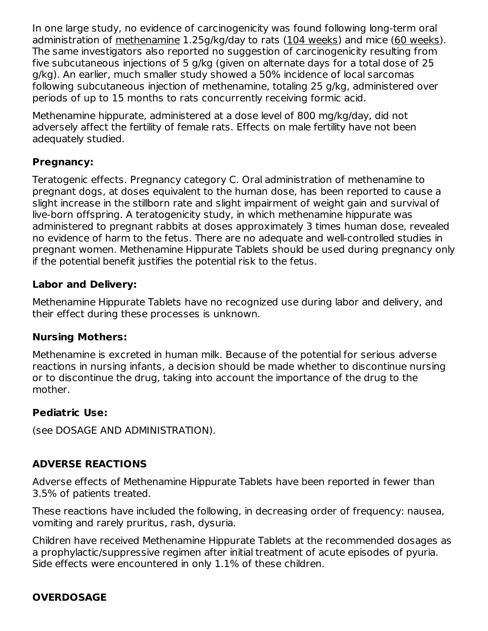In one large study, no evidence of carcinogenicity was found following long-term oral administration of methenamine 1.25g/kg/day to rats (104 weeks) and mice (60 weeks). The same investigators also reported no suggestion of carcinogenicity resulting from five subcutaneous injections of 5 g/kg (given on alternate days for a total dose of 25 g/kg). An earlier, much smaller study showed a 50% incidence of local sarcomas following subcutaneous injection of methenamine, totaling 25 g/kg, administered over periods of up to 15 months to rats concurrently receiving formic acid.

Methenamine hippurate, administered at a dose level of 800 mg/kg/day, did not adversely affect the fertility of female rats. Effects on male fertility have not been adequately studied.

## **Pregnancy:**

Teratogenic effects. Pregnancy category C. Oral administration of methenamine to pregnant dogs, at doses equivalent to the human dose, has been reported to cause a slight increase in the stillborn rate and slight impairment of weight gain and survival of live-born offspring. A teratogenicity study, in which methenamine hippurate was administered to pregnant rabbits at doses approximately 3 times human dose, revealed no evidence of harm to the fetus. There are no adequate and well-controlled studies in pregnant women. Methenamine Hippurate Tablets should be used during pregnancy only if the potential benefit justifies the potential risk to the fetus.

## **Labor and Delivery:**

Methenamine Hippurate Tablets have no recognized use during labor and delivery, and their effect during these processes is unknown.

## **Nursing Mothers:**

Methenamine is excreted in human milk. Because of the potential for serious adverse reactions in nursing infants, a decision should be made whether to discontinue nursing or to discontinue the drug, taking into account the importance of the drug to the mother.

#### **Pediatric Use:**

(see DOSAGE AND ADMINISTRATION).

## **ADVERSE REACTIONS**

Adverse effects of Methenamine Hippurate Tablets have been reported in fewer than 3.5% of patients treated.

These reactions have included the following, in decreasing order of frequency: nausea, vomiting and rarely pruritus, rash, dysuria.

Children have received Methenamine Hippurate Tablets at the recommended dosages as a prophylactic/suppressive regimen after initial treatment of acute episodes of pyuria. Side effects were encountered in only 1.1% of these children.

## **OVERDOSAGE**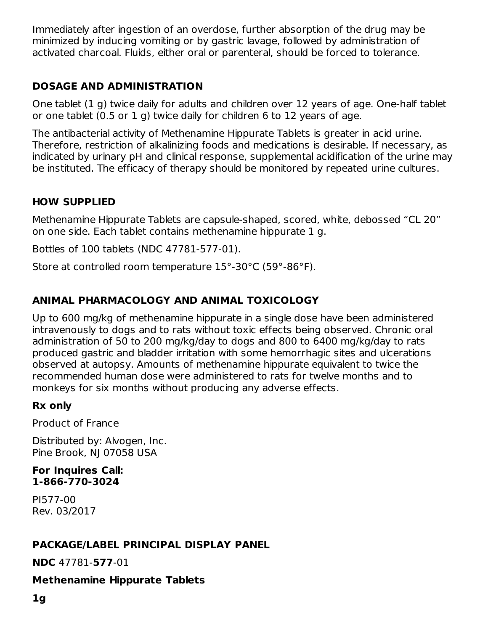Immediately after ingestion of an overdose, further absorption of the drug may be minimized by inducing vomiting or by gastric lavage, followed by administration of activated charcoal. Fluids, either oral or parenteral, should be forced to tolerance.

# **DOSAGE AND ADMINISTRATION**

One tablet (1 g) twice daily for adults and children over 12 years of age. One-half tablet or one tablet (0.5 or 1 g) twice daily for children 6 to 12 years of age.

The antibacterial activity of Methenamine Hippurate Tablets is greater in acid urine. Therefore, restriction of alkalinizing foods and medications is desirable. If necessary, as indicated by urinary pH and clinical response, supplemental acidification of the urine may be instituted. The efficacy of therapy should be monitored by repeated urine cultures.

# **HOW SUPPLIED**

Methenamine Hippurate Tablets are capsule-shaped, scored, white, debossed "CL 20" on one side. Each tablet contains methenamine hippurate 1 g.

Bottles of 100 tablets (NDC 47781-577-01).

Store at controlled room temperature 15°-30°C (59°-86°F).

# **ANIMAL PHARMACOLOGY AND ANIMAL TOXICOLOGY**

Up to 600 mg/kg of methenamine hippurate in a single dose have been administered intravenously to dogs and to rats without toxic effects being observed. Chronic oral administration of 50 to 200 mg/kg/day to dogs and 800 to 6400 mg/kg/day to rats produced gastric and bladder irritation with some hemorrhagic sites and ulcerations observed at autopsy. Amounts of methenamine hippurate equivalent to twice the recommended human dose were administered to rats for twelve months and to monkeys for six months without producing any adverse effects.

## **Rx only**

Product of France

Distributed by: Alvogen, Inc. Pine Brook, NJ 07058 USA

#### **For Inquires Call: 1-866-770-3024**

PI577-00 Rev. 03/2017

# **PACKAGE/LABEL PRINCIPAL DISPLAY PANEL**

**NDC** 47781-**577**-01

## **Methenamine Hippurate Tablets**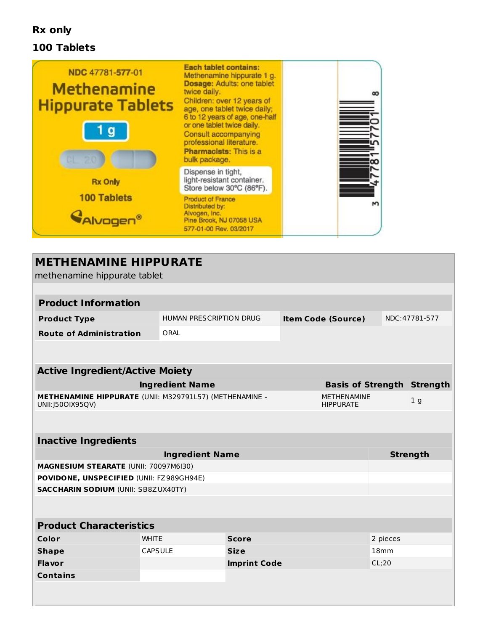## **Rx only**

#### **100 Tablets**



# **METHENAMINE HIPPURATE** methenamine hippurate tablet **Product Information Product Type** HUMAN PRESCRIPTION DRUG **Item Code (Source)** NDC:47781-577 **Route of Administration** ORAL **Active Ingredient/Active Moiety Ingredient Name Basis of Strength Strength METHENAMINE HIPPURATE** (UNII: M329791L57) (METHENAMINE - UNII:J50OIX95QV) METHENAMINE **HIPPURATE** 1 g **Inactive Ingredients Ingredient Name Strength MAGNESIUM STEARATE** (UNII: 70097M6I30) **POVIDONE, UNSPECIFIED** (UNII: FZ989GH94E) **SACCHARIN SODIUM** (UNII: SB8ZUX40TY) **Product Characteristics Color** WHITE **Score** 2 pieces **Shape CAPSULE Size Size 18mm Flavor Imprint Code** CL;20 **Contains**